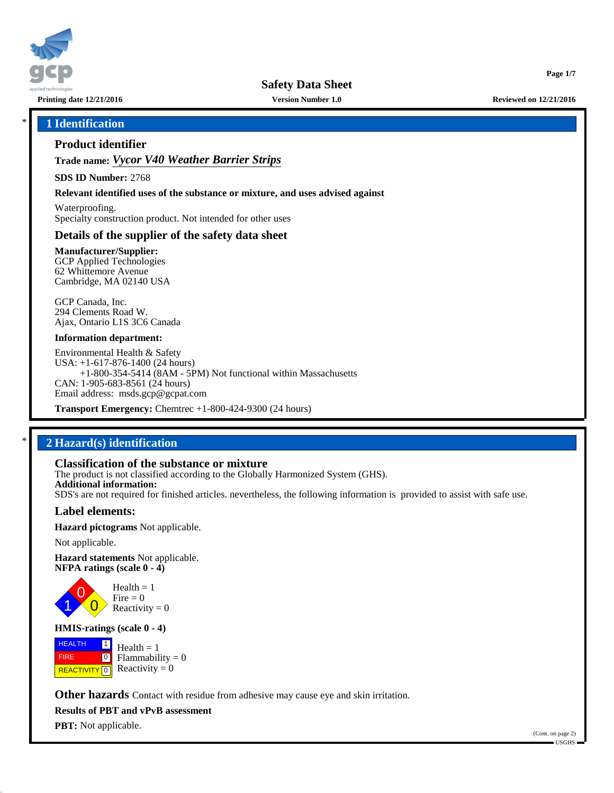

**Printing date 12/21/2016 Version Number 1.0 Reviewed on 12/21/2016**

**Page 1/7**

# \* **1 Identification**

# **Product identifier**

**Trade name:** *Vycor V40 Weather Barrier Strips*

**SDS ID Number:** 2768

**Relevant identified uses of the substance or mixture, and uses advised against**

Waterproofing. Specialty construction product. Not intended for other uses

## **Details of the supplier of the safety data sheet**

**Manufacturer/Supplier:** GCP Applied Technologies 62 Whittemore Avenue Cambridge, MA 02140 USA

GCP Canada, Inc. 294 Clements Road W. Ajax, Ontario L1S 3C6 Canada

#### **Information department:**

Environmental Health & Safety USA: +1-617-876-1400 (24 hours) +1-800-354-5414 (8AM - 5PM) Not functional within Massachusetts CAN: 1-905-683-8561 (24 hours) Email address: msds.gcp@gcpat.com

**Transport Emergency:** Chemtrec +1-800-424-9300 (24 hours)

# \* **2 Hazard(s) identification**

# **Classification of the substance or mixture**

The product is not classified according to the Globally Harmonized System (GHS). **Additional information:** SDS's are not required for finished articles. nevertheless, the following information is provided to assist with safe use.

### **Label elements:**

**Hazard pictograms** Not applicable.

Not applicable.

**Hazard statements** Not applicable. **NFPA ratings (scale 0 - 4)**



Reactivity  $= 0$ 

### **HMIS-ratings (scale 0 - 4)**

**HEALTH**  FIRE **REACTIVITY** 0  $\boxed{1}$  $\boxed{0}$  $Health = 1$ Flammability  $= 0$ Reactivity  $= 0$ 

**Other hazards** Contact with residue from adhesive may cause eye and skin irritation.

**Results of PBT and vPvB assessment**

**PBT:** Not applicable.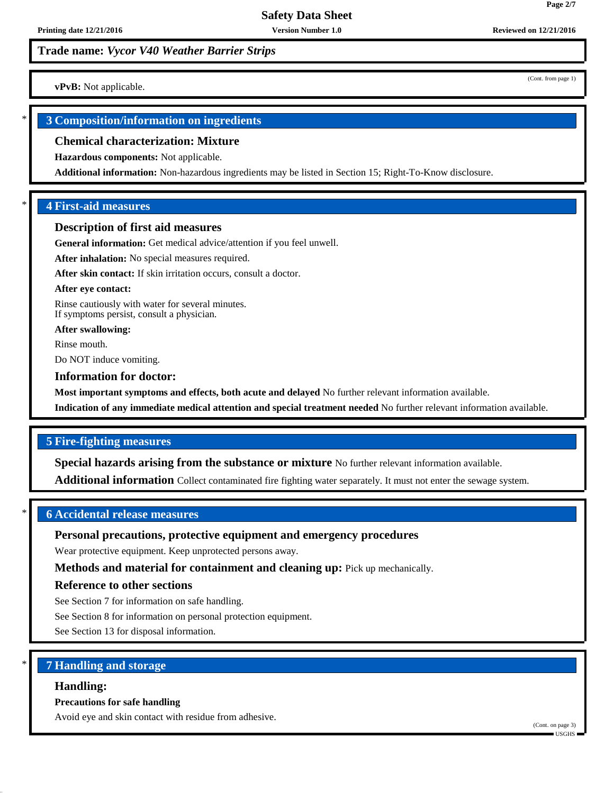**vPvB:** Not applicable.

# \* **3 Composition/information on ingredients**

#### **Chemical characterization: Mixture**

**Hazardous components:** Not applicable.

**Additional information:** Non-hazardous ingredients may be listed in Section 15; Right-To-Know disclosure.

## \* **4 First-aid measures**

#### **Description of first aid measures**

**General information:** Get medical advice/attention if you feel unwell.

**After inhalation:** No special measures required.

**After skin contact:** If skin irritation occurs, consult a doctor.

#### **After eye contact:**

Rinse cautiously with water for several minutes. If symptoms persist, consult a physician.

**After swallowing:**

Rinse mouth.

Do NOT induce vomiting.

#### **Information for doctor:**

**Most important symptoms and effects, both acute and delayed** No further relevant information available.

**Indication of any immediate medical attention and special treatment needed** No further relevant information available.

## **5 Fire-fighting measures**

**Special hazards arising from the substance or mixture** No further relevant information available.

**Additional information** Collect contaminated fire fighting water separately. It must not enter the sewage system.

## \* **6 Accidental release measures**

### **Personal precautions, protective equipment and emergency procedures**

Wear protective equipment. Keep unprotected persons away.

**Methods and material for containment and cleaning up:** Pick up mechanically.

### **Reference to other sections**

See Section 7 for information on safe handling.

See Section 8 for information on personal protection equipment.

See Section 13 for disposal information.

# \* **7 Handling and storage**

#### **Handling:**

#### **Precautions for safe handling**

Avoid eye and skin contact with residue from adhesive.

(Cont. from page 1)

**Page 2/7**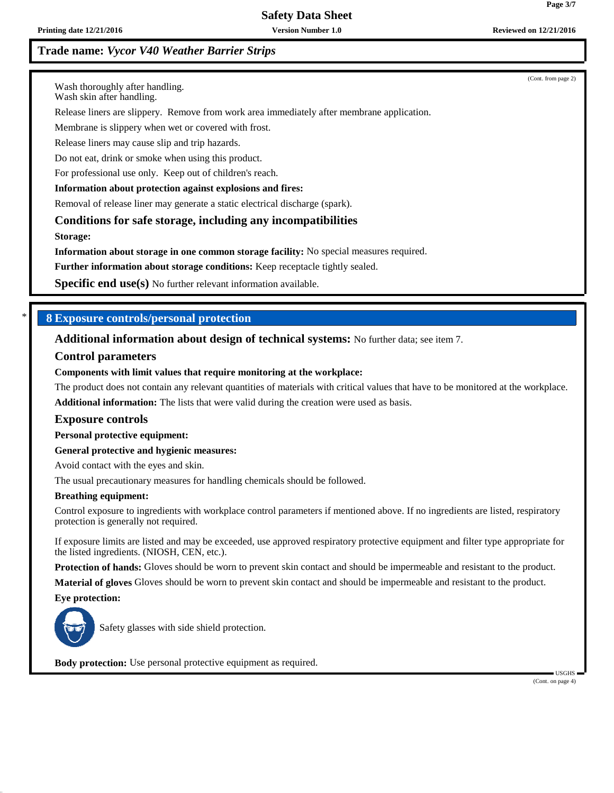# **Safety Data Sheet**

# **Trade name:** *Vycor V40 Weather Barrier Strips*

(Cont. from page 2)

Wash thoroughly after handling.

Wash skin after handling.

Release liners are slippery. Remove from work area immediately after membrane application.

Membrane is slippery when wet or covered with frost.

Release liners may cause slip and trip hazards.

Do not eat, drink or smoke when using this product.

For professional use only. Keep out of children's reach.

#### **Information about protection against explosions and fires:**

Removal of release liner may generate a static electrical discharge (spark).

**Conditions for safe storage, including any incompatibilities**

**Storage:**

**Information about storage in one common storage facility:** No special measures required.

**Further information about storage conditions:** Keep receptacle tightly sealed.

**Specific end use(s)** No further relevant information available.

## \* **8 Exposure controls/personal protection**

**Additional information about design of technical systems:** No further data; see item 7.

#### **Control parameters**

#### **Components with limit values that require monitoring at the workplace:**

The product does not contain any relevant quantities of materials with critical values that have to be monitored at the workplace. **Additional information:** The lists that were valid during the creation were used as basis.

#### **Exposure controls**

**Personal protective equipment:**

**General protective and hygienic measures:**

Avoid contact with the eyes and skin.

The usual precautionary measures for handling chemicals should be followed.

#### **Breathing equipment:**

Control exposure to ingredients with workplace control parameters if mentioned above. If no ingredients are listed, respiratory protection is generally not required.

If exposure limits are listed and may be exceeded, use approved respiratory protective equipment and filter type appropriate for the listed ingredients. (NIOSH, CEN, etc.).

**Protection of hands:** Gloves should be worn to prevent skin contact and should be impermeable and resistant to the product.

**Material of gloves** Gloves should be worn to prevent skin contact and should be impermeable and resistant to the product.

**Eye protection:**



Safety glasses with side shield protection.

**Body protection:** Use personal protective equipment as required.

 USGHS (Cont. on page 4)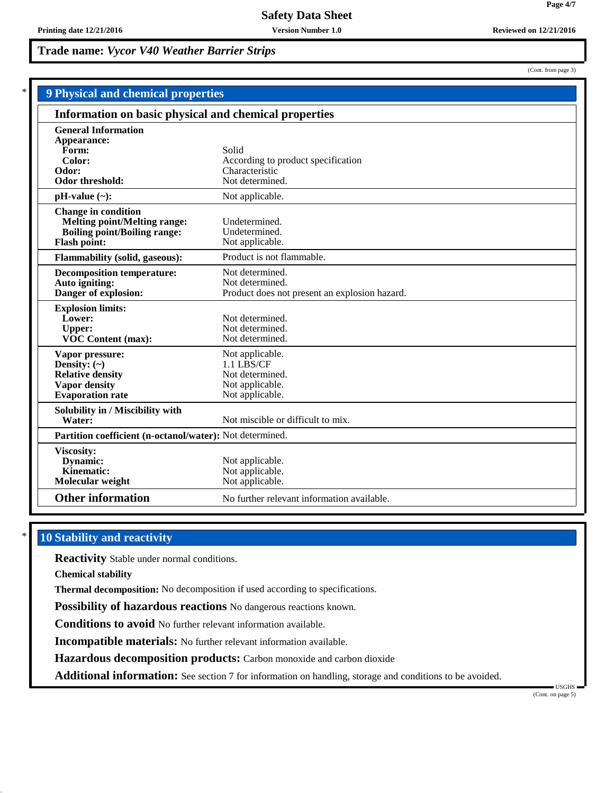| <b>9 Physical and chemical properties</b>                                                                                       |                                                                                        |  |
|---------------------------------------------------------------------------------------------------------------------------------|----------------------------------------------------------------------------------------|--|
| Information on basic physical and chemical properties                                                                           |                                                                                        |  |
| <b>General Information</b><br>Appearance:<br>Form:<br>Color:<br>Odor:<br>Odor threshold:                                        | Solid<br>According to product specification<br>Characteristic<br>Not determined.       |  |
| $pH-value (\sim):$                                                                                                              | Not applicable.                                                                        |  |
| <b>Change in condition</b><br><b>Melting point/Melting range:</b><br><b>Boiling point/Boiling range:</b><br><b>Flash point:</b> | Undetermined.<br>Undetermined.<br>Not applicable.                                      |  |
| <b>Flammability (solid, gaseous):</b>                                                                                           | Product is not flammable.                                                              |  |
| <b>Decomposition temperature:</b><br>Auto igniting:<br>Danger of explosion:                                                     | Not determined.<br>Not determined.<br>Product does not present an explosion hazard.    |  |
| <b>Explosion limits:</b><br>Lower:<br><b>Upper:</b><br>VOC Content (max):                                                       | Not determined.<br>Not determined.<br>Not determined.                                  |  |
| Vapor pressure:<br>Density: $(\sim)$<br><b>Relative density</b><br>Vapor density<br><b>Evaporation</b> rate                     | Not applicable.<br>1.1 LBS/CF<br>Not determined.<br>Not applicable.<br>Not applicable. |  |
| Solubility in / Miscibility with<br>Water:                                                                                      | Not miscible or difficult to mix.                                                      |  |
| Partition coefficient (n-octanol/water): Not determined.                                                                        |                                                                                        |  |
| Viscosity:<br>Dynamic:<br>Kinematic:<br>Molecular weight                                                                        | Not applicable.<br>Not applicable.<br>Not applicable.                                  |  |
| <b>Other information</b>                                                                                                        | No further relevant information available.                                             |  |

# **10 Stability and reactivity**

**Reactivity** Stable under normal conditions.

**Chemical stability**

**Thermal decomposition:** No decomposition if used according to specifications.

**Possibility of hazardous reactions** No dangerous reactions known.

**Conditions to avoid** No further relevant information available.

**Incompatible materials:** No further relevant information available.

**Hazardous decomposition products:** Carbon monoxide and carbon dioxide

**Additional information:** See section 7 for information on handling, storage and conditions to be avoided.

USGHS

(Cont. from page 3)

**Page 4/7**

(Cont. on page 5)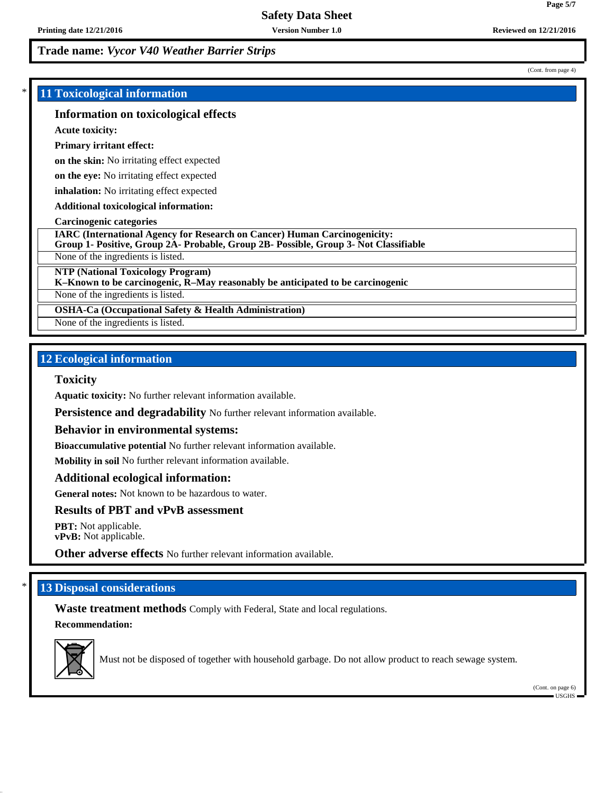# \* **11 Toxicological information**

### **Information on toxicological effects**

**Acute toxicity:**

#### **Primary irritant effect:**

**on the skin:** No irritating effect expected

**on the eye:** No irritating effect expected

**inhalation:** No irritating effect expected

**Additional toxicological information:**

#### **Carcinogenic categories**

**IARC (International Agency for Research on Cancer) Human Carcinogenicity:**

**Group 1- Positive, Group 2A- Probable, Group 2B- Possible, Group 3- Not Classifiable**

None of the ingredients is listed.

**NTP (National Toxicology Program)**

**K–Known to be carcinogenic, R–May reasonably be anticipated to be carcinogenic**

None of the ingredients is listed.

**OSHA-Ca (Occupational Safety & Health Administration)**

None of the ingredients is listed.

# **12 Ecological information**

#### **Toxicity**

**Aquatic toxicity:** No further relevant information available.

**Persistence and degradability** No further relevant information available.

#### **Behavior in environmental systems:**

**Bioaccumulative potential** No further relevant information available.

**Mobility in soil** No further relevant information available.

#### **Additional ecological information:**

**General notes:** Not known to be hazardous to water.

## **Results of PBT and vPvB assessment**

**PBT:** Not applicable. **vPvB:** Not applicable.

**Other adverse effects** No further relevant information available.

# **13 Disposal considerations**

**Waste treatment methods** Comply with Federal, State and local regulations. **Recommendation:**



Must not be disposed of together with household garbage. Do not allow product to reach sewage system.

(Cont. on page 6) USGHS

**Page 5/7**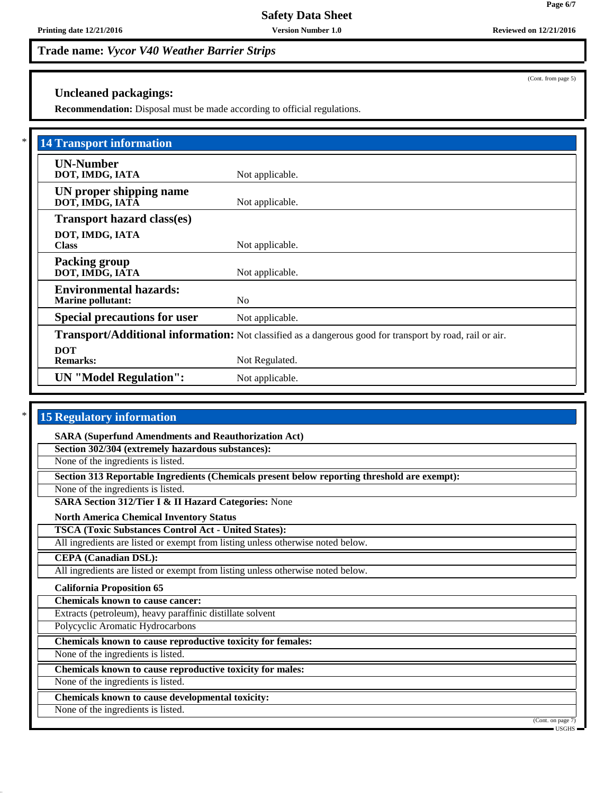# **Uncleaned packagings:**

**Recommendation:** Disposal must be made according to official regulations.

| <b>14 Transport information</b>                           |                                                                                                          |
|-----------------------------------------------------------|----------------------------------------------------------------------------------------------------------|
| <b>UN-Number</b><br>DOT, IMDG, IATA                       | Not applicable.                                                                                          |
| UN proper shipping name<br>DOT, IMDG, IATĀ                | Not applicable.                                                                                          |
| <b>Transport hazard class(es)</b>                         |                                                                                                          |
| DOT, IMDG, IATA<br><b>Class</b>                           | Not applicable.                                                                                          |
| <b>Packing group</b><br>DOT, IMDG, IATA                   | Not applicable.                                                                                          |
| <b>Environmental hazards:</b><br><b>Marine pollutant:</b> | N <sub>0</sub>                                                                                           |
| <b>Special precautions for user</b>                       | Not applicable.                                                                                          |
|                                                           | Transport/Additional information: Not classified as a dangerous good for transport by road, rail or air. |
| <b>DOT</b><br><b>Remarks:</b>                             | Not Regulated.                                                                                           |
| <b>UN</b> "Model Regulation":                             | Not applicable.                                                                                          |

# **15 Regulatory information**

**SARA (Superfund Amendments and Reauthorization Act)**

**Section 302/304 (extremely hazardous substances):**

None of the ingredients is listed.

**Section 313 Reportable Ingredients (Chemicals present below reporting threshold are exempt):**

None of the ingredients is listed.

**SARA Section 312/Tier I & II Hazard Categories:** None

**North America Chemical Inventory Status**

**TSCA (Toxic Substances Control Act - United States):**

All ingredients are listed or exempt from listing unless otherwise noted below.

**CEPA (Canadian DSL):**

All ingredients are listed or exempt from listing unless otherwise noted below.

### **California Proposition 65**

**Chemicals known to cause cancer:**

Extracts (petroleum), heavy paraffinic distillate solvent

Polycyclic Aromatic Hydrocarbons

**Chemicals known to cause reproductive toxicity for females:**

None of the ingredients is listed.

**Chemicals known to cause reproductive toxicity for males:**

None of the ingredients is listed.

**Chemicals known to cause developmental toxicity:**

None of the ingredients is listed.

(Cont. from page 5)

(Cont. on page 7)